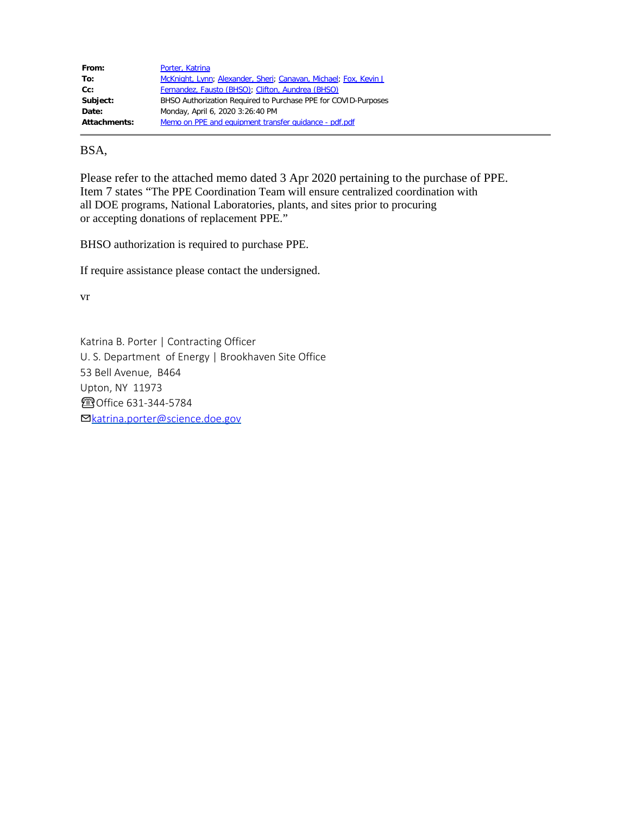| From:               | Porter, Katrina                                                  |
|---------------------|------------------------------------------------------------------|
| To:                 | McKnight, Lynn; Alexander, Sheri; Canavan, Michael; Fox, Kevin J |
| $Cc$ :              | Fernandez, Fausto (BHSO); Clifton, Aundrea (BHSO)                |
| Subject:            | BHSO Authorization Required to Purchase PPE for COVID-Purposes   |
| Date:               | Monday, April 6, 2020 3:26:40 PM                                 |
| <b>Attachments:</b> | Memo on PPE and equipment transfer quidance - pdf.pdf            |

#### BSA,

Please refer to the attached memo dated 3 Apr 2020 pertaining to the purchase of PPE. Item 7 states "The PPE Coordination Team will ensure centralized coordination with all DOE programs, National Laboratories, plants, and sites prior to procuring or accepting donations of replacement PPE."

BHSO authorization is required to purchase PPE.

If require assistance please contact the undersigned.

vr

Katrina B. Porter | Contracting Officer U. S. Department of Energy | Brookhaven Site Office 53 Bell Avenue, B464 Upton, NY 11973 ☎Office 631-344-5784 ✉[katrina.porter@science.doe.gov](mailto:katrina.porter@science.doe.gov)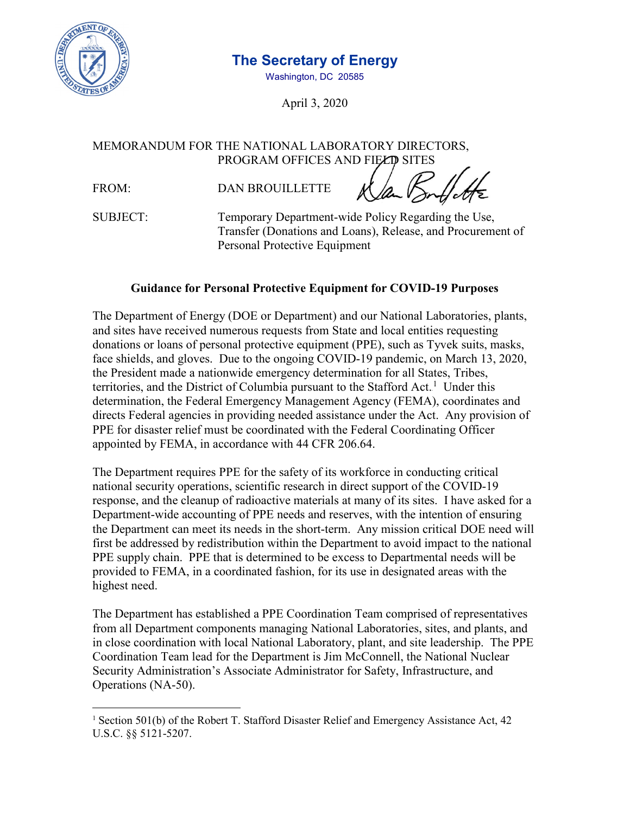

# **The Secretary of Energy**

Washington, DC 20585

April 3, 2020

MEMORANDUM FOR THE NATIONAL LABORATORY DIRECTORS, PROGRAM OFFICES AND FIELD SITES

FROM: DAN BROUILLETTE

SUBJECT: Temporary Department-wide Policy Regarding the Use, Transfer (Donations and Loans), Release, and Procurement of Personal Protective Equipment

## **Guidance for Personal Protective Equipment for COVID-19 Purposes**

The Department of Energy (DOE or Department) and our National Laboratories, plants, and sites have received numerous requests from State and local entities requesting donations or loans of personal protective equipment (PPE), such as Tyvek suits, masks, face shields, and gloves. Due to the ongoing COVID-19 pandemic, on March 13, 2020, the President made a nationwide [emergency determination](https://www.whitehouse.gov/briefings-statements/letter-president-donald-j-trump-emergency-determination-stafford-act/) for all States, Tribes, territories, and the District of Columbia pursuant to the Stafford Act.<sup>1</sup> Under this determination, the Federal Emergency Management Agency (FEMA), coordinates and directs Federal agencies in providing needed assistance under the Act. Any provision of PPE for disaster relief must be coordinated with the Federal Coordinating Officer appointed by FEMA, in accordance with 44 CFR 206.64.

The Department requires PPE for the safety of its workforce in conducting critical national security operations, scientific research in direct support of the COVID-19 response, and the cleanup of radioactive materials at many of its sites. I have asked for a Department-wide accounting of PPE needs and reserves, with the intention of ensuring the Department can meet its needs in the short-term. Any mission critical DOE need will first be addressed by redistribution within the Department to avoid impact to the national PPE supply chain. PPE that is determined to be excess to Departmental needs will be provided to FEMA, in a coordinated fashion, for its use in designated areas with the highest need.

The Department has established a PPE Coordination Team comprised of representatives from all Department components managing National Laboratories, sites, and plants, and in close coordination with local National Laboratory, plant, and site leadership. The PPE Coordination Team lead for the Department is Jim McConnell, the National Nuclear Security Administration's Associate Administrator for Safety, Infrastructure, and Operations (NA-50).

<sup>&</sup>lt;sup>1</sup> Section 501(b) of the Robert T. Stafford Disaster Relief and Emergency Assistance Act, 42 U.S.C. §§ 5121-5207.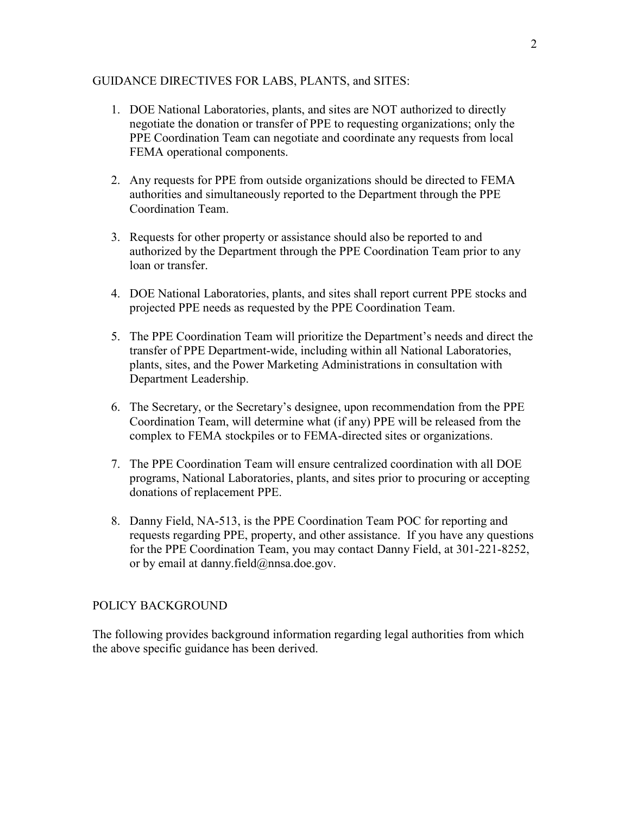#### GUIDANCE DIRECTIVES FOR LABS, PLANTS, and SITES:

- 1. DOE National Laboratories, plants, and sites are NOT authorized to directly negotiate the donation or transfer of PPE to requesting organizations; only the PPE Coordination Team can negotiate and coordinate any requests from local FEMA operational components.
- 2. Any requests for PPE from outside organizations should be directed to FEMA authorities and simultaneously reported to the Department through the PPE Coordination Team.
- 3. Requests for other property or assistance should also be reported to and authorized by the Department through the PPE Coordination Team prior to any loan or transfer.
- 4. DOE National Laboratories, plants, and sites shall report current PPE stocks and projected PPE needs as requested by the PPE Coordination Team.
- 5. The PPE Coordination Team will prioritize the Department's needs and direct the transfer of PPE Department-wide, including within all National Laboratories, plants, sites, and the Power Marketing Administrations in consultation with Department Leadership.
- 6. The Secretary, or the Secretary's designee, upon recommendation from the PPE Coordination Team, will determine what (if any) PPE will be released from the complex to FEMA stockpiles or to FEMA-directed sites or organizations.
- 7. The PPE Coordination Team will ensure centralized coordination with all DOE programs, National Laboratories, plants, and sites prior to procuring or accepting donations of replacement PPE.
- 8. Danny Field, NA-513, is the PPE Coordination Team POC for reporting and requests regarding PPE, property, and other assistance. If you have any questions for the PPE Coordination Team, you may contact Danny Field, at 301-221-8252, or by email at [danny.field@nnsa.doe.gov.](mailto:danny.field@nnsa.doe.gov)

### POLICY BACKGROUND

The following provides background information regarding legal authorities from which the above specific guidance has been derived.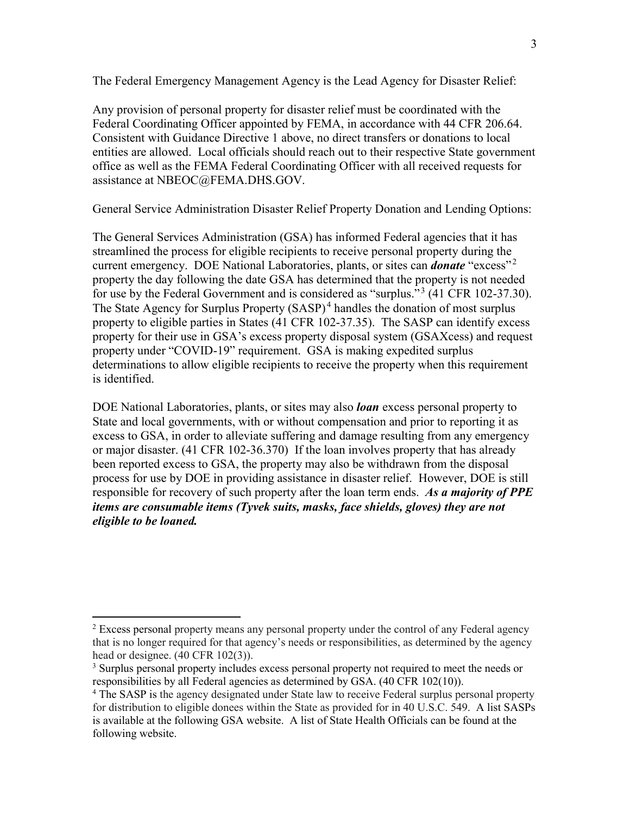The Federal Emergency Management Agency is the Lead Agency for Disaster Relief:

Any provision of personal property for disaster relief must be coordinated with the Federal Coordinating Officer appointed by FEMA, in accordance with 44 CFR 206.64. Consistent with Guidance Directive 1 above, no direct transfers or donations to local entities are allowed. Local officials should reach out to their respective State government office as well as the FEMA Federal Coordinating Officer with all received requests for assistance at [NBEOC@FEMA.DHS.GOV.](mailto:NBEOC@FEMA.DHS.GOV)

General Service Administration Disaster Relief Property Donation and Lending Options:

The General Services Administration (GSA) has informed Federal agencies that it has streamlined the process for eligible recipients to receive personal property during the current emergency. DOE National Laboratories, plants, or sites can *donate* "excess"<sup>2</sup> property the day following the date GSA has determined that the property is not needed for use by the Federal Government and is considered as "surplus."<sup>3</sup> (41 CFR 102-37.30). The State Agency for Surplus Property  $(SASP)^4$  handles the donation of most surplus property to eligible parties in States (41 CFR 102-37.35). The SASP can identify excess property for their use in GSA's excess property disposal system (GSAXcess) and request property under "COVID-19" requirement. GSA is making expedited surplus determinations to allow eligible recipients to receive the property when this requirement is identified.

DOE National Laboratories, plants, or sites may also *loan* excess personal property to State and local governments, with or without compensation and prior to reporting it as excess to GSA, in order to alleviate suffering and damage resulting from any emergency or major disaster. (41 CFR 102-36.370) If the loan involves property that has already been reported excess to GSA, the property may also be withdrawn from the disposal process for use by DOE in providing assistance in disaster relief. However, DOE is still responsible for recovery of such property after the loan term ends. *As a majority of PPE items are consumable items (Tyvek suits, masks, face shields, gloves) they are not eligible to be loaned.*

 $2$  Excess personal property means any personal property under the control of any Federal agency that is no longer required for that agency's needs or responsibilities, as determined by the agency head or designee. (40 CFR 102(3)).

<sup>&</sup>lt;sup>3</sup> Surplus personal property includes excess personal property not required to meet the needs or responsibilities by all Federal agencies as determined by GSA. (40 CFR 102(10)).

<sup>&</sup>lt;sup>4</sup> The SASP is the agency designated under State law to receive Federal surplus personal property for distribution to eligible donees within the State as provided for in 40 U.S.C. 549. A list SASPs is available at the following [GSA website.](https://www.gsa.gov/buying-selling/government-property-for-sale-or-disposal/personal-property-for-reuse-sale/for-state-agencies-and-public-orgs/state-agencies-for-surplus-property-sasp-contacts) A list of State Health Officials can be found at the following [website.](https://www.astho.org/Directory/)